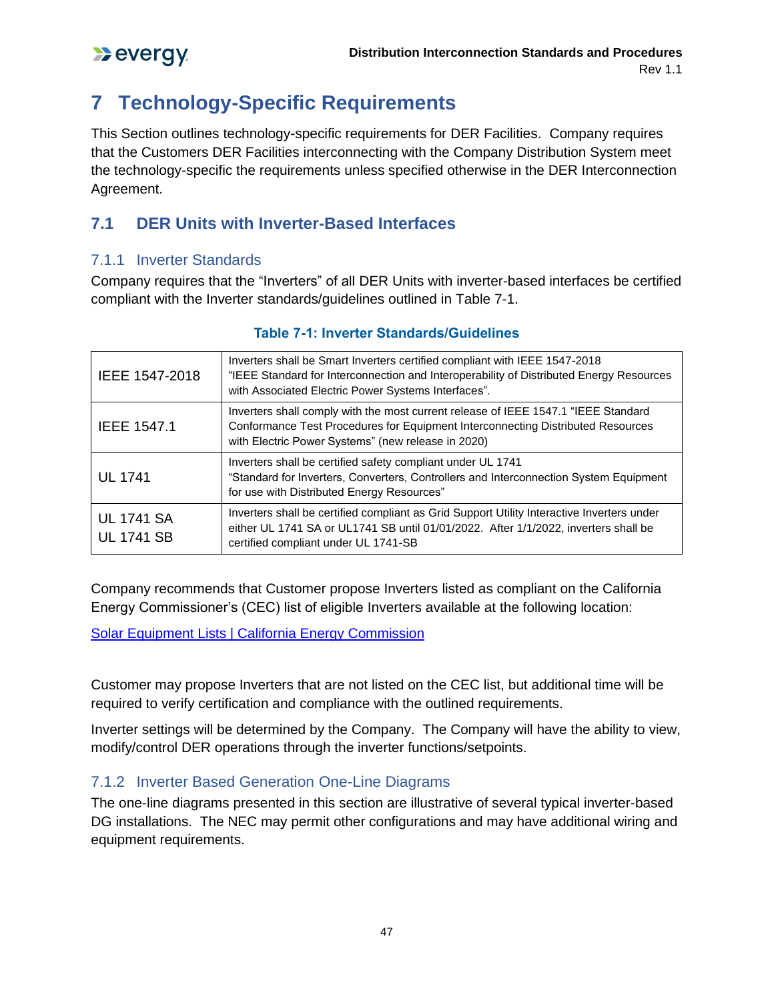# **7 Technology-Specific Requirements**

This Section outlines technology-specific requirements for DER Facilities. Company requires that the Customers DER Facilities interconnecting with the Company Distribution System meet the technology-specific the requirements unless specified otherwise in the DER Interconnection Agreement.

# **7.1 DER Units with Inverter-Based Interfaces**

## 7.1.1 Inverter Standards

Company requires that the "Inverters" of all DER Units with inverter-based interfaces be certified compliant with the Inverter standards/guidelines outlined in Table 7-1.

| IEEE 1547-2018                         | Inverters shall be Smart Inverters certified compliant with IEEE 1547-2018<br>"IEEE Standard for Interconnection and Interoperability of Distributed Energy Resources<br>with Associated Electric Power Systems Interfaces". |
|----------------------------------------|------------------------------------------------------------------------------------------------------------------------------------------------------------------------------------------------------------------------------|
| <b>IEEE 1547.1</b>                     | Inverters shall comply with the most current release of IEEE 1547.1 "IEEE Standard<br>Conformance Test Procedures for Equipment Interconnecting Distributed Resources<br>with Electric Power Systems" (new release in 2020)  |
| <b>UL 1741</b>                         | Inverters shall be certified safety compliant under UL 1741<br>"Standard for Inverters, Converters, Controllers and Interconnection System Equipment<br>for use with Distributed Energy Resources"                           |
| <b>UL 1741 SA</b><br><b>UL 1741 SB</b> | Inverters shall be certified compliant as Grid Support Utility Interactive Inverters under<br>either UL 1741 SA or UL1741 SB until 01/01/2022. After 1/1/2022, inverters shall be<br>certified compliant under UL 1741-SB    |

#### **Table 7-1: Inverter Standards/Guidelines**

Company recommends that Customer propose Inverters listed as compliant on the California Energy Commissioner's (CEC) list of eligible Inverters available at the following location:

Solar Equipment Lists | California Energy Commission

Customer may propose Inverters that are not listed on the CEC list, but additional time will be required to verify certification and compliance with the outlined requirements.

Inverter settings will be determined by the Company. The Company will have the ability to view, modify/control DER operations through the inverter functions/setpoints.

## 7.1.2 Inverter Based Generation One-Line Diagrams

The one-line diagrams presented in this section are illustrative of several typical inverter-based DG installations. The NEC may permit other configurations and may have additional wiring and equipment requirements.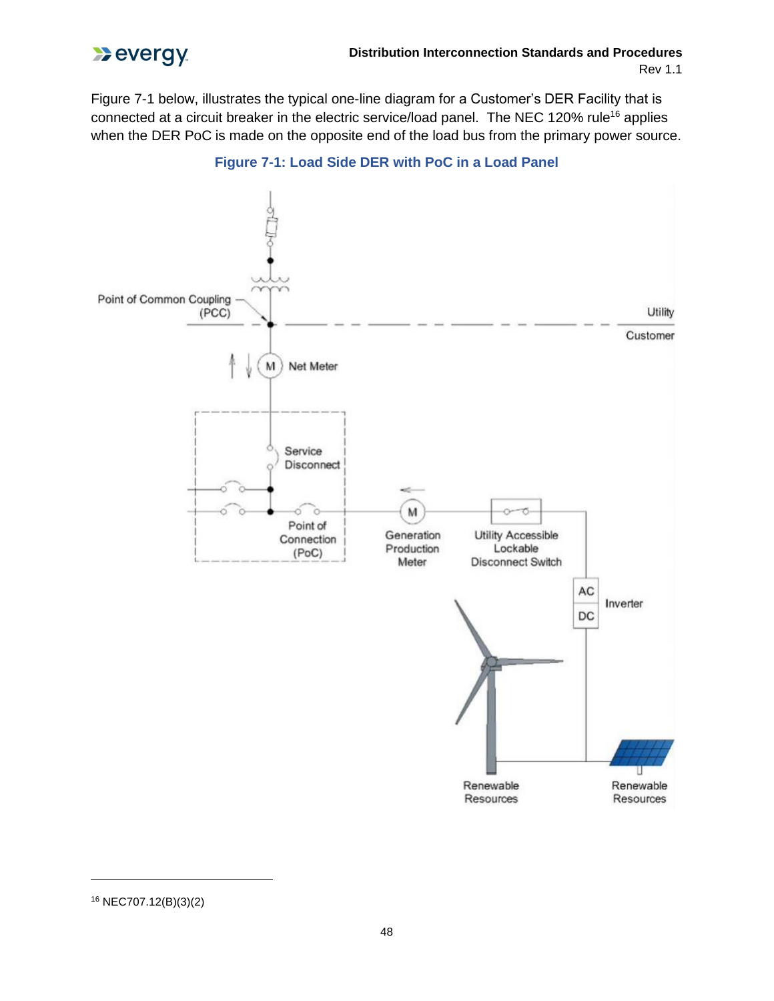

Figure 7-1 below, illustrates the typical one-line diagram for a Customer's DER Facility that is connected at a circuit breaker in the electric service/load panel. The NEC 120% rule<sup>16</sup> applies when the DER PoC is made on the opposite end of the load bus from the primary power source.





<sup>16</sup> NEC707.12(B)(3)(2)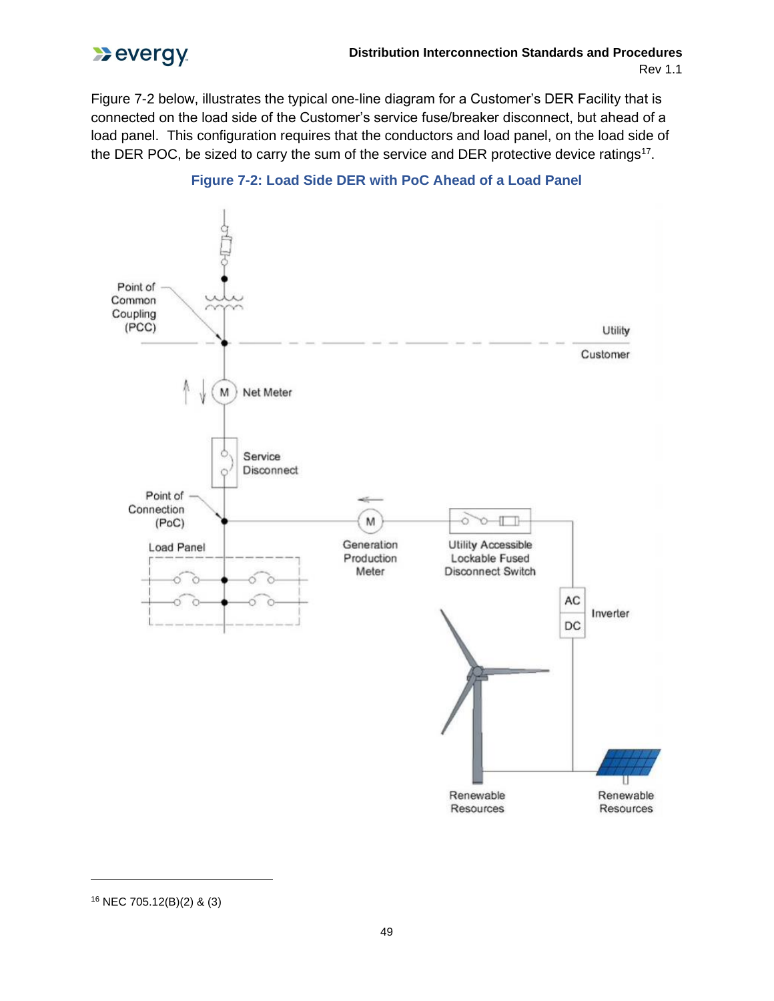

Figure 7-2 below, illustrates the typical one-line diagram for a Customer's DER Facility that is connected on the load side of the Customer's service fuse/breaker disconnect, but ahead of a load panel. This configuration requires that the conductors and load panel, on the load side of the DER POC, be sized to carry the sum of the service and DER protective device ratings<sup>17</sup>.



#### **Figure 7-2: Load Side DER with PoC Ahead of a Load Panel**

<sup>16</sup> NEC 705.12(B)(2) & (3)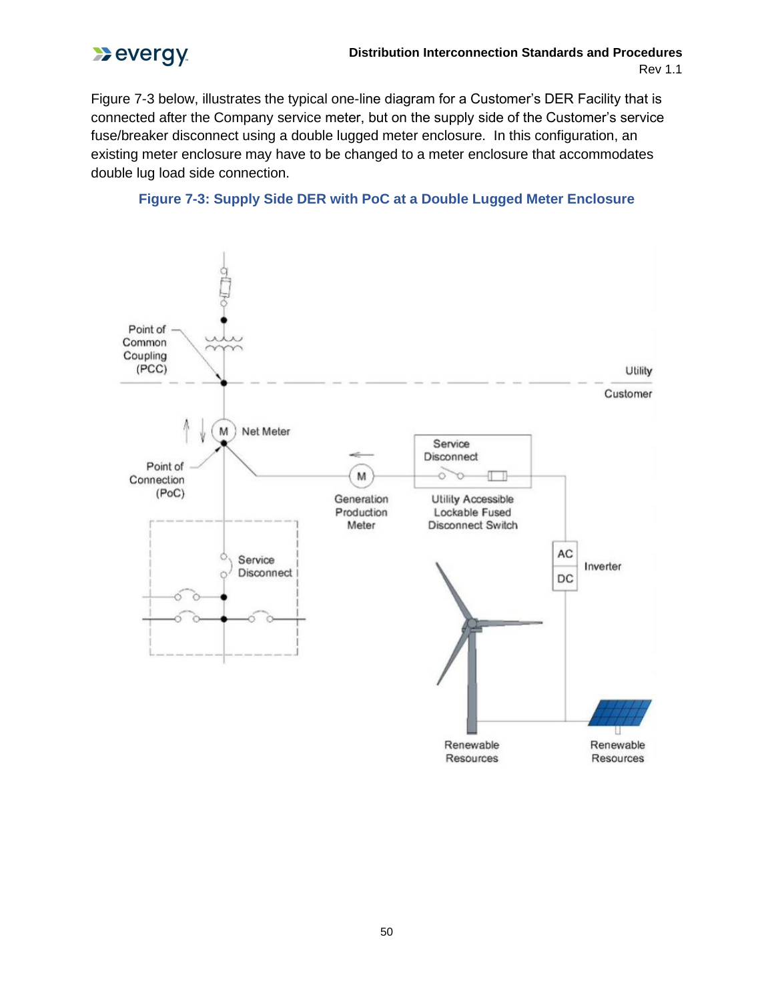

Figure 7-3 below, illustrates the typical one-line diagram for a Customer's DER Facility that is connected after the Company service meter, but on the supply side of the Customer's service fuse/breaker disconnect using a double lugged meter enclosure. In this configuration, an existing meter enclosure may have to be changed to a meter enclosure that accommodates double lug load side connection.



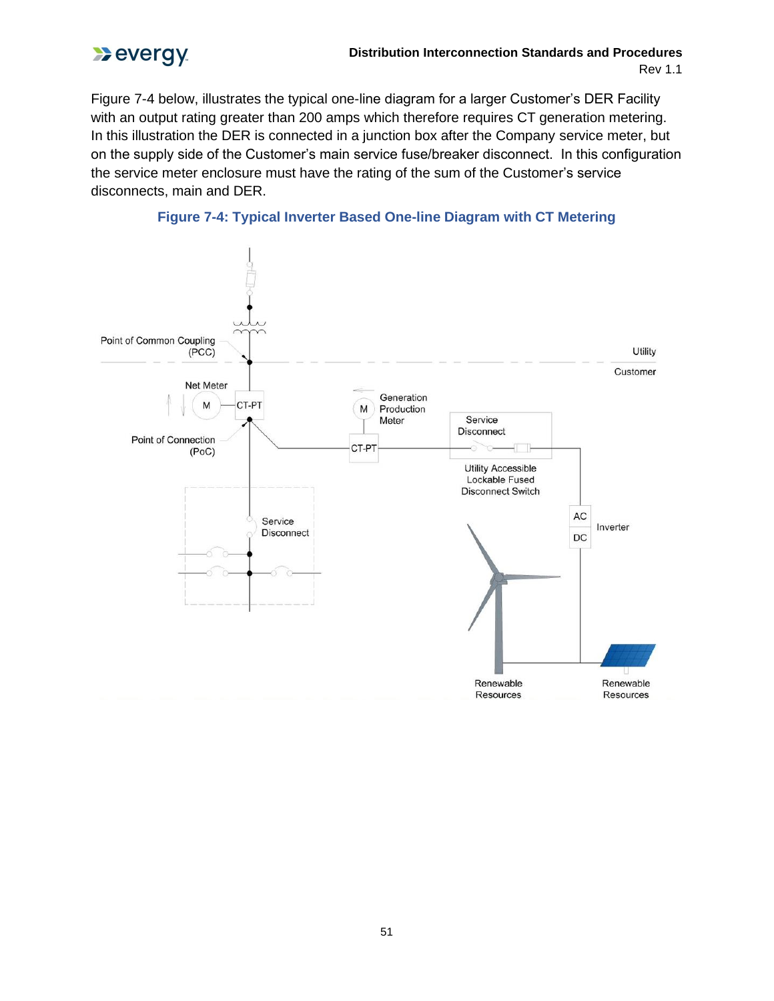

Figure 7-4 below, illustrates the typical one-line diagram for a larger Customer's DER Facility with an output rating greater than 200 amps which therefore requires CT generation metering. In this illustration the DER is connected in a junction box after the Company service meter, but on the supply side of the Customer's main service fuse/breaker disconnect. In this configuration the service meter enclosure must have the rating of the sum of the Customer's service disconnects, main and DER.



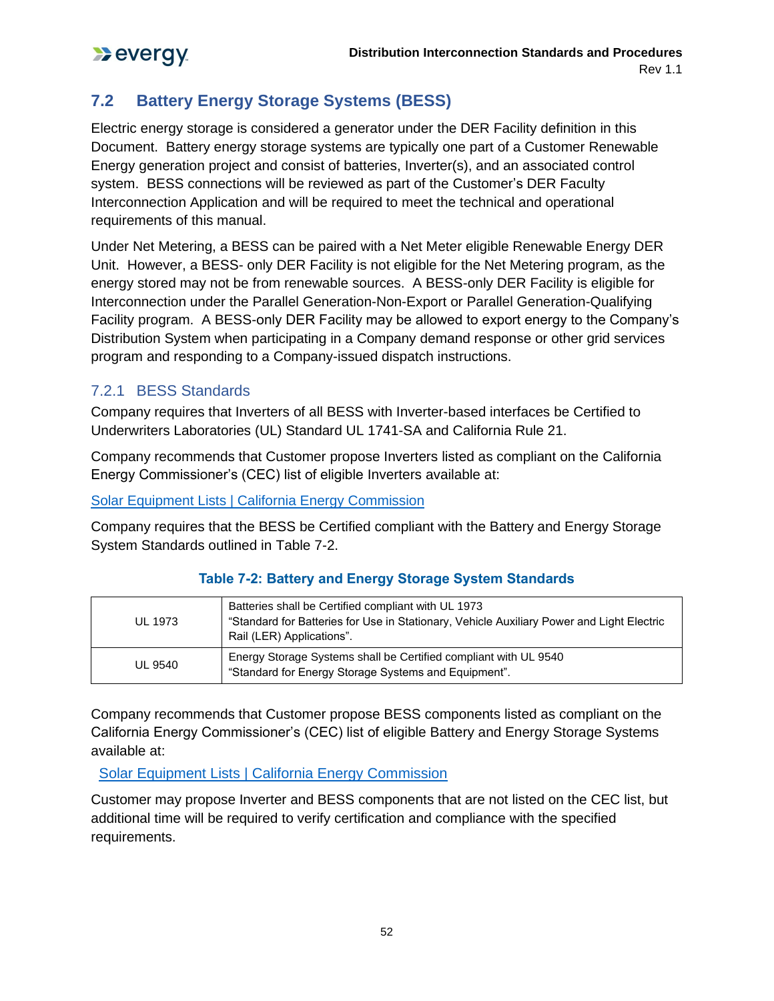# **7.2 Battery Energy Storage Systems (BESS)**

Electric energy storage is considered a generator under the DER Facility definition in this Document. Battery energy storage systems are typically one part of a Customer Renewable Energy generation project and consist of batteries, Inverter(s), and an associated control system. BESS connections will be reviewed as part of the Customer's DER Faculty Interconnection Application and will be required to meet the technical and operational requirements of this manual.

Under Net Metering, a BESS can be paired with a Net Meter eligible Renewable Energy DER Unit. However, a BESS- only DER Facility is not eligible for the Net Metering program, as the energy stored may not be from renewable sources. A BESS-only DER Facility is eligible for Interconnection under the Parallel Generation-Non-Export or Parallel Generation-Qualifying Facility program. A BESS-only DER Facility may be allowed to export energy to the Company's Distribution System when participating in a Company demand response or other grid services program and responding to a Company-issued dispatch instructions.

## 7.2.1 BESS Standards

Company requires that Inverters of all BESS with Inverter-based interfaces be Certified to Underwriters Laboratories (UL) Standard UL 1741-SA and California Rule 21.

Company recommends that Customer propose Inverters listed as compliant on the California Energy Commissioner's (CEC) list of eligible Inverters available at:

Solar Equipment Lists | California Energy Commission

Company requires that the BESS be Certified compliant with the Battery and Energy Storage System Standards outlined in Table 7-2.

| <b>UL 1973</b> | Batteries shall be Certified compliant with UL 1973<br>"Standard for Batteries for Use in Stationary, Vehicle Auxiliary Power and Light Electric<br>Rail (LER) Applications". |
|----------------|-------------------------------------------------------------------------------------------------------------------------------------------------------------------------------|
| <b>UL 9540</b> | Energy Storage Systems shall be Certified compliant with UL 9540<br>"Standard for Energy Storage Systems and Equipment".                                                      |

### **Table 7-2: Battery and Energy Storage System Standards**

Company recommends that Customer propose BESS components listed as compliant on the California Energy Commissioner's (CEC) list of eligible Battery and Energy Storage Systems available at:

Solar Equipment Lists | California Energy Commission

Customer may propose Inverter and BESS components that are not listed on the CEC list, but additional time will be required to verify certification and compliance with the specified requirements.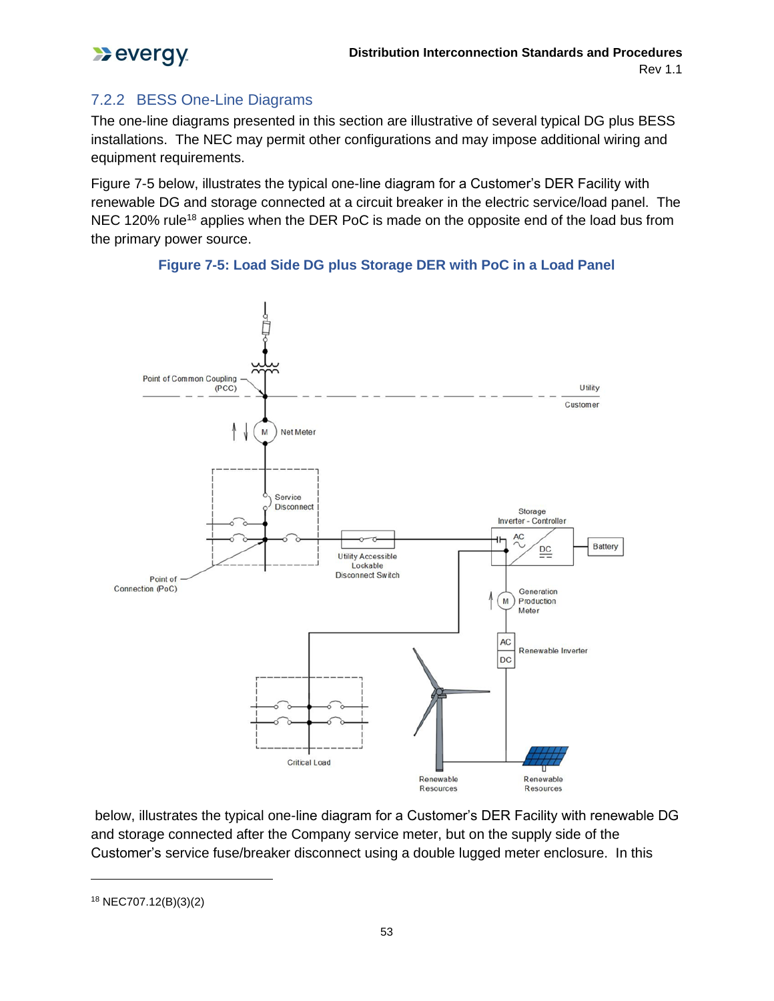

## 7.2.2 BESS One-Line Diagrams

The one-line diagrams presented in this section are illustrative of several typical DG plus BESS installations. The NEC may permit other configurations and may impose additional wiring and equipment requirements.

Figure 7-5 below, illustrates the typical one-line diagram for a Customer's DER Facility with renewable DG and storage connected at a circuit breaker in the electric service/load panel. The NEC 120% rule<sup>18</sup> applies when the DER PoC is made on the opposite end of the load bus from the primary power source.





below, illustrates the typical one-line diagram for a Customer's DER Facility with renewable DG and storage connected after the Company service meter, but on the supply side of the Customer's service fuse/breaker disconnect using a double lugged meter enclosure. In this

<sup>18</sup> NEC707.12(B)(3)(2)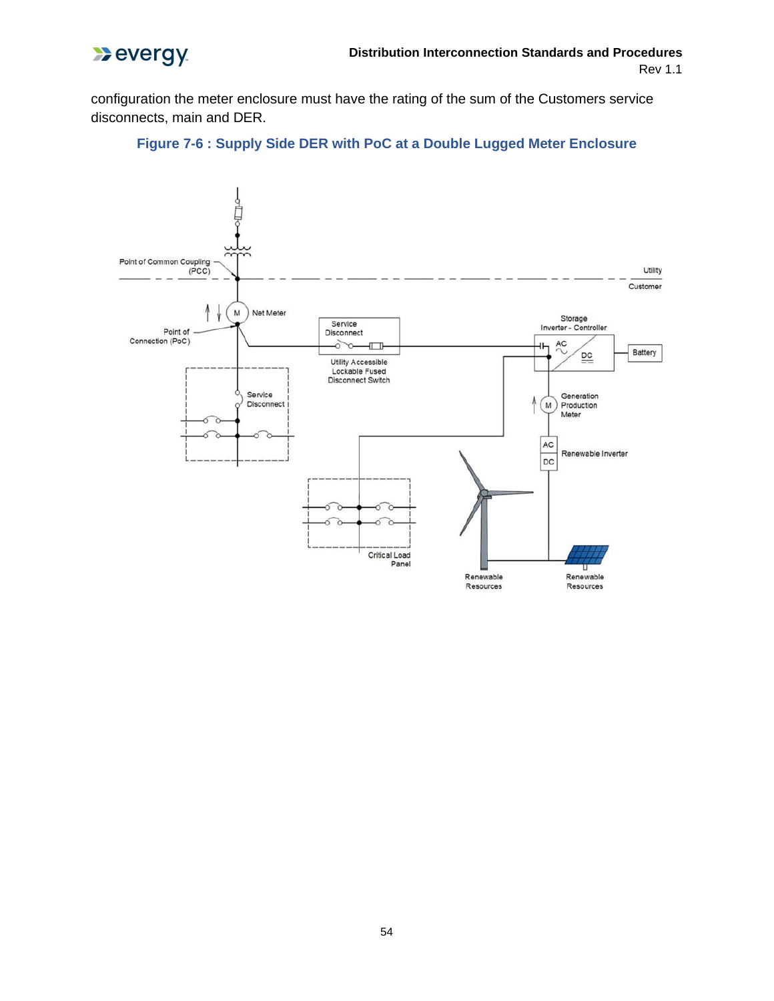

configuration the meter enclosure must have the rating of the sum of the Customers service disconnects, main and DER.



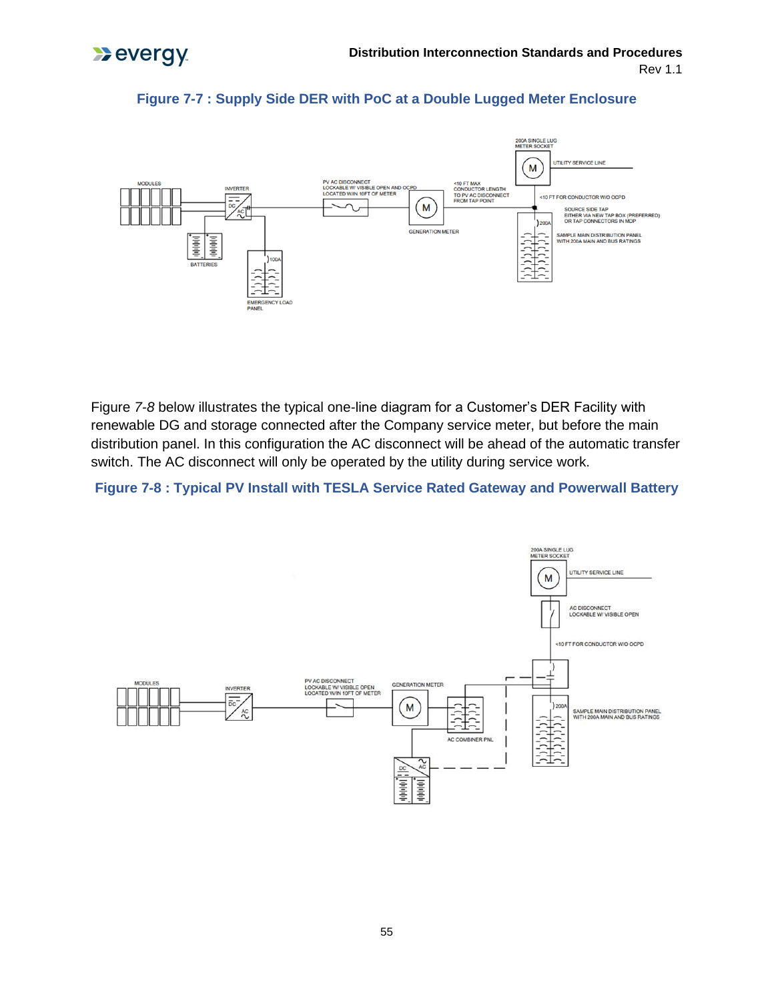



#### **Figure 7-7 : Supply Side DER with PoC at a Double Lugged Meter Enclosure**

Figure *7-8* below illustrates the typical one-line diagram for a Customer's DER Facility with renewable DG and storage connected after the Company service meter, but before the main distribution panel. In this configuration the AC disconnect will be ahead of the automatic transfer switch. The AC disconnect will only be operated by the utility during service work.

#### **Figure 7-8 : Typical PV Install with TESLA Service Rated Gateway and Powerwall Battery**